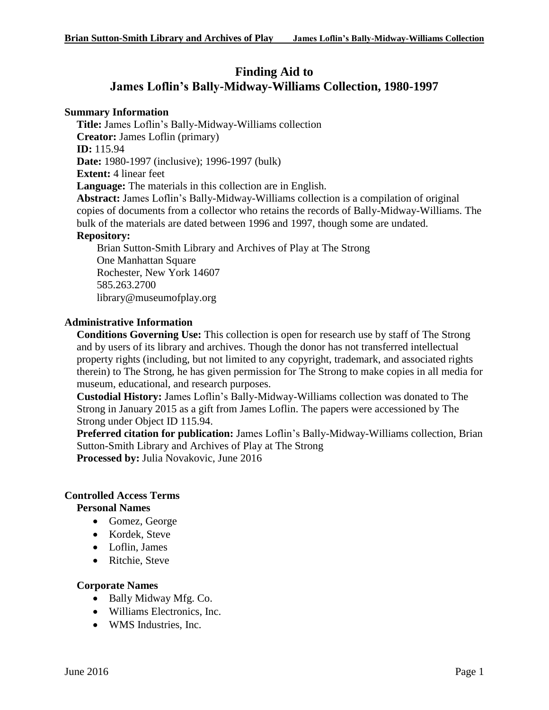# **Finding Aid to James Loflin's Bally-Midway-Williams Collection, 1980-1997**

#### **Summary Information**

**Title:** James Loflin's Bally-Midway-Williams collection

**Creator:** James Loflin (primary)

**ID:** 115.94

**Date:** 1980-1997 (inclusive); 1996-1997 (bulk)

**Extent:** 4 linear feet

**Language:** The materials in this collection are in English.

**Abstract:** James Loflin's Bally-Midway-Williams collection is a compilation of original copies of documents from a collector who retains the records of Bally-Midway-Williams. The bulk of the materials are dated between 1996 and 1997, though some are undated.

### **Repository:**

Brian Sutton-Smith Library and Archives of Play at The Strong One Manhattan Square Rochester, New York 14607 585.263.2700 library@museumofplay.org

### **Administrative Information**

**Conditions Governing Use:** This collection is open for research use by staff of The Strong and by users of its library and archives. Though the donor has not transferred intellectual property rights (including, but not limited to any copyright, trademark, and associated rights therein) to The Strong, he has given permission for The Strong to make copies in all media for museum, educational, and research purposes.

**Custodial History:** James Loflin's Bally-Midway-Williams collection was donated to The Strong in January 2015 as a gift from James Loflin. The papers were accessioned by The Strong under Object ID 115.94.

**Preferred citation for publication:** James Loflin's Bally-Midway-Williams collection, Brian Sutton-Smith Library and Archives of Play at The Strong **Processed by:** Julia Novakovic, June 2016

#### **Controlled Access Terms**

**Personal Names**

- Gomez, George
- Kordek, Steve
- Loflin, James
- Ritchie, Steve

#### **Corporate Names**

- Bally Midway Mfg. Co.
- Williams Electronics, Inc.
- WMS Industries, Inc.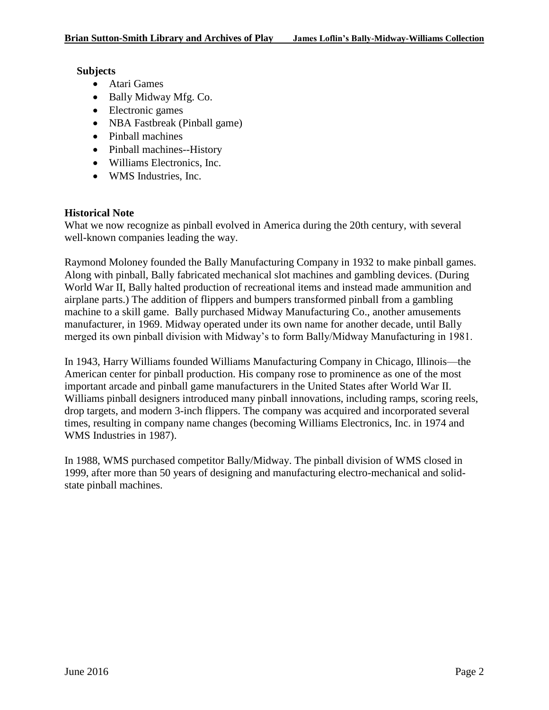#### **Subjects**

- Atari Games
- Bally Midway Mfg. Co.
- Electronic games
- NBA Fastbreak (Pinball game)
- Pinball machines
- Pinball machines--History
- Williams Electronics, Inc.
- WMS Industries, Inc.

## **Historical Note**

What we now recognize as pinball evolved in America during the 20th century, with several well-known companies leading the way.

Raymond Moloney founded the Bally Manufacturing Company in 1932 to make pinball games. Along with pinball, Bally fabricated mechanical slot machines and gambling devices. (During World War II, Bally halted production of recreational items and instead made ammunition and airplane parts.) The addition of flippers and bumpers transformed pinball from a gambling machine to a skill game. Bally purchased Midway Manufacturing Co., another amusements manufacturer, in 1969. Midway operated under its own name for another decade, until Bally merged its own pinball division with Midway's to form Bally/Midway Manufacturing in 1981.

In 1943, Harry Williams founded Williams Manufacturing Company in Chicago, Illinois—the American center for pinball production. His company rose to prominence as one of the most important arcade and pinball game manufacturers in the United States after World War II. Williams pinball designers introduced many pinball innovations, including ramps, scoring reels, drop targets, and modern 3-inch flippers. The company was acquired and incorporated several times, resulting in company name changes (becoming Williams Electronics, Inc. in 1974 and WMS Industries in 1987).

In 1988, WMS purchased competitor Bally/Midway. The pinball division of WMS closed in 1999, after more than 50 years of designing and manufacturing electro-mechanical and solidstate pinball machines.